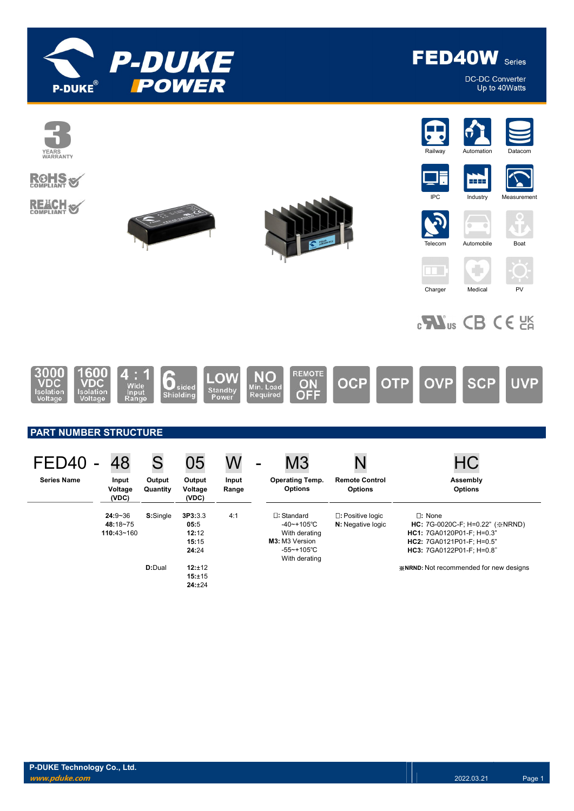

FED40W Series

**DC-DC Converter** Up to 40Watts

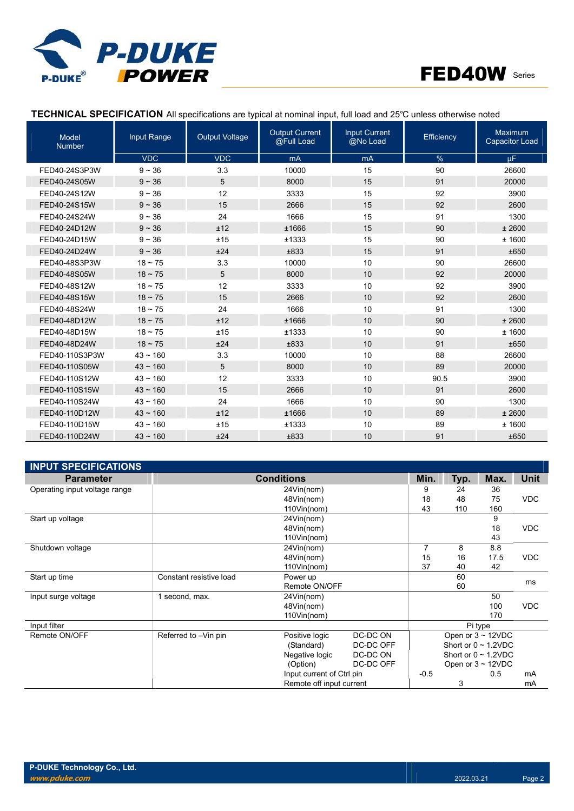



# TECHNICAL SPECIFICATION All specifications are typical at nominal input, full load and 25℃ unless otherwise noted

| <b>Model</b><br><b>Number</b> | Input Range   | <b>Output Voltage</b> | <b>Output Current</b><br>@Full Load | <b>Input Current</b><br>@No Load | Efficiency | <b>Maximum</b><br><b>Capacitor Load</b> |
|-------------------------------|---------------|-----------------------|-------------------------------------|----------------------------------|------------|-----------------------------------------|
|                               | <b>VDC</b>    | <b>VDC</b>            | mA                                  | mA                               | %          | μF.                                     |
| FED40-24S3P3W                 | $9 - 36$      | 3.3                   | 10000                               | 15                               | 90         | 26600                                   |
| FED40-24S05W                  | $9 - 36$      | 5                     | 8000                                | 15                               | 91         | 20000                                   |
| FED40-24S12W                  | $9 - 36$      | 12                    | 3333                                | 15                               | 92         | 3900                                    |
| FED40-24S15W                  | $9 - 36$      | 15                    | 2666                                | 15                               | 92         | 2600                                    |
| FED40-24S24W                  | $9 - 36$      | 24                    | 1666                                | 15                               | 91         | 1300                                    |
| FED40-24D12W                  | $9 - 36$      | ±12                   | ±1666                               | 15                               | 90         | ± 2600                                  |
| FED40-24D15W                  | $9 - 36$      | ±15                   | ±1333                               | 15                               | 90         | ±1600                                   |
| FED40-24D24W                  | $9 - 36$      | ±24                   | ±833                                | 15                               | 91         | ±650                                    |
| FED40-48S3P3W                 | $18 \sim 75$  | 3.3                   | 10000                               | 10                               | 90         | 26600                                   |
| FED40-48S05W                  | $18 - 75$     | 5                     | 8000                                | 10                               | 92         | 20000                                   |
| FED40-48S12W                  | $18 \sim 75$  | 12                    | 3333                                | 10                               | 92         | 3900                                    |
| FED40-48S15W                  | $18 - 75$     | 15                    | 2666                                | 10                               | 92         | 2600                                    |
| FED40-48S24W                  | $18 \sim 75$  | 24                    | 1666                                | 10                               | 91         | 1300                                    |
| FED40-48D12W                  | $18 - 75$     | ±12                   | ±1666                               | 10                               | 90         | ± 2600                                  |
| FED40-48D15W                  | $18 - 75$     | ±15                   | ±1333                               | 10                               | 90         | ± 1600                                  |
| FED40-48D24W                  | $18 - 75$     | ±24                   | ±833                                | 10                               | 91         | ±650                                    |
| FED40-110S3P3W                | $43 \sim 160$ | 3.3                   | 10000                               | 10                               | 88         | 26600                                   |
| FED40-110S05W                 | $43 \sim 160$ | 5                     | 8000                                | 10                               | 89         | 20000                                   |
| FED40-110S12W                 | $43 - 160$    | 12                    | 3333                                | 10                               | 90.5       | 3900                                    |
| FED40-110S15W                 | $43 \sim 160$ | 15                    | 2666                                | 10                               | 91         | 2600                                    |
| FED40-110S24W                 | $43 - 160$    | 24                    | 1666                                | 10                               | 90         | 1300                                    |
| FED40-110D12W                 | $43 - 160$    | ±12                   | ±1666                               | 10                               | 89         | ± 2600                                  |
| FED40-110D15W                 | $43 - 160$    | ±15                   | ±1333                               | 10                               | 89         | ±1600                                   |
| FED40-110D24W                 | $43 - 160$    | ±24                   | ±833                                | 10                               | 91         | ±650                                    |

| <b>INPUT SPECIFICATIONS</b>   |                         |                           |           |                |      |                           |            |
|-------------------------------|-------------------------|---------------------------|-----------|----------------|------|---------------------------|------------|
| <b>Parameter</b>              |                         | <b>Conditions</b>         |           | Min.           | Typ. | Max.                      | Unit       |
| Operating input voltage range |                         | 24Vin(nom)                |           | 9              | 24   | 36                        |            |
|                               |                         | 48Vin(nom)                |           | 18             | 48   | 75                        | <b>VDC</b> |
|                               |                         | 110Vin(nom)               |           | 43             | 110  | 160                       |            |
| Start up voltage              |                         | 24Vin(nom)                |           |                |      | 9                         |            |
|                               |                         | 48Vin(nom)                |           |                |      | 18                        | <b>VDC</b> |
|                               |                         | 110Vin(nom)               |           |                |      | 43                        |            |
| Shutdown voltage              |                         | 24Vin(nom)                |           | $\overline{7}$ | 8    | 8.8                       |            |
|                               |                         | 48Vin(nom)                |           | 15             | 16   | 17.5                      | <b>VDC</b> |
|                               |                         | 110Vin(nom)               |           | 37             | 40   | 42                        |            |
| Start up time                 | Constant resistive load | Power up                  |           |                | 60   |                           | ms         |
|                               |                         | Remote ON/OFF             |           |                | 60   |                           |            |
| Input surge voltage           | 1 second, max.          | 24Vin(nom)                |           |                |      | 50                        |            |
|                               |                         | 48Vin(nom)                |           |                |      | 100                       | <b>VDC</b> |
|                               |                         | 110Vin(nom)               |           |                |      | 170                       |            |
| Input filter                  |                         |                           |           |                |      | Pi type                   |            |
| Remote ON/OFF                 | Referred to -Vin pin    | Positive logic            | DC-DC ON  |                |      | Open or $3 \sim 12$ VDC   |            |
|                               |                         | (Standard)                | DC-DC OFF |                |      | Short or $0 \sim 1.2$ VDC |            |
|                               |                         | Negative logic            | DC-DC ON  |                |      | Short or $0 \sim 1.2$ VDC |            |
|                               |                         | (Option)                  | DC-DC OFF |                |      | Open or $3 \sim 12$ VDC   |            |
|                               |                         | Input current of Ctrl pin |           | $-0.5$         |      | 0.5                       | mA         |
|                               |                         | Remote off input current  |           |                | 3    |                           | mA         |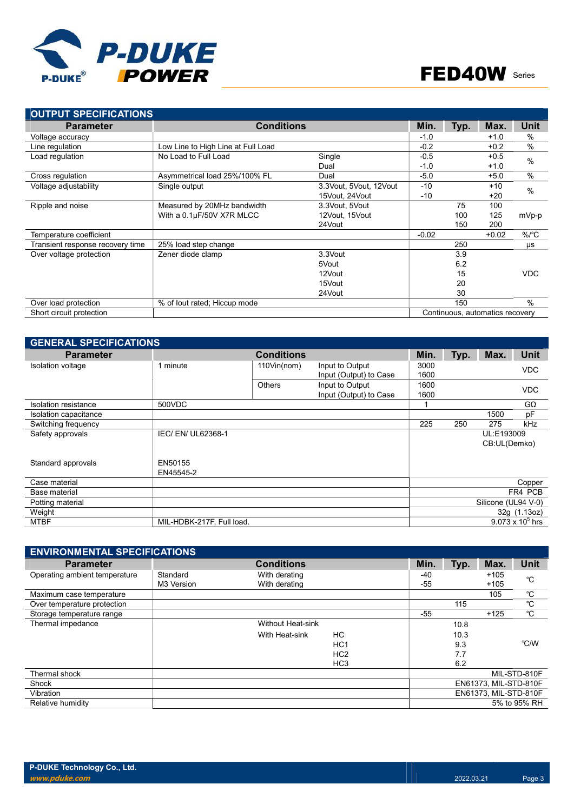

| <b>OUTPUT SPECIFICATIONS</b>     |                                    |                        |         |      |                                 |               |
|----------------------------------|------------------------------------|------------------------|---------|------|---------------------------------|---------------|
| <b>Parameter</b>                 | <b>Conditions</b>                  | Min.                   | Typ.    | Max. | <b>Unit</b>                     |               |
| Voltage accuracy                 |                                    |                        | $-1.0$  |      | $+1.0$                          | %             |
| Line regulation                  | Low Line to High Line at Full Load |                        | $-0.2$  |      | $+0.2$                          | $\%$          |
| Load regulation                  | No Load to Full Load               | Single                 | $-0.5$  |      | $+0.5$                          | $\frac{0}{0}$ |
|                                  |                                    | Dual                   | $-1.0$  |      | $+1.0$                          |               |
| Cross regulation                 | Asymmetrical load 25%/100% FL      | Dual                   | $-5.0$  |      | $+5.0$                          | $\%$          |
| Voltage adjustability            | Single output                      | 3.3Vout, 5Vout, 12Vout | $-10$   |      | $+10$                           | $\frac{0}{0}$ |
|                                  |                                    | 15Vout, 24Vout         | $-10$   |      | $+20$                           |               |
| Ripple and noise                 | Measured by 20MHz bandwidth        | 3.3Vout, 5Vout         |         | 75   | 100                             |               |
|                                  | With a 0.1µF/50V X7R MLCC          | 12Vout, 15Vout         |         | 100  | 125                             | mVp-p         |
|                                  |                                    | 24 Vout                |         | 150  | 200                             |               |
| Temperature coefficient          |                                    |                        | $-0.02$ |      | $+0.02$                         | $\%$ /°C      |
| Transient response recovery time | 25% load step change               |                        |         | 250  |                                 | μs            |
| Over voltage protection          | Zener diode clamp                  | 3.3Vout                |         | 3.9  |                                 |               |
|                                  |                                    | 5Vout                  |         | 6.2  |                                 |               |
|                                  |                                    | 12Vout                 |         | 15   |                                 | VDC.          |
|                                  |                                    | 15Vout                 |         | 20   |                                 |               |
|                                  |                                    | 24 Vout                |         | 30   |                                 |               |
| Over load protection             | % of lout rated; Hiccup mode       |                        |         | 150  |                                 | $\frac{0}{0}$ |
| Short circuit protection         |                                    |                        |         |      | Continuous, automatics recovery |               |

| <b>GENERAL SPECIFICATIONS</b> |                           |                   |                                           |              |      |                            |                         |
|-------------------------------|---------------------------|-------------------|-------------------------------------------|--------------|------|----------------------------|-------------------------|
| <b>Parameter</b>              |                           | <b>Conditions</b> |                                           | Min.         | Typ. | Max.                       | <b>Unit</b>             |
| Isolation voltage             | 1 minute                  | $110$ Vin(nom)    | Input to Output<br>Input (Output) to Case | 3000<br>1600 |      |                            | <b>VDC</b>              |
|                               |                           | Others            | Input to Output<br>Input (Output) to Case | 1600<br>1600 |      |                            | <b>VDC</b>              |
| Isolation resistance          | 500VDC                    |                   |                                           |              |      |                            | GΩ                      |
| Isolation capacitance         |                           |                   |                                           |              |      | 1500                       | рF                      |
| Switching frequency           |                           |                   |                                           | 225          | 250  | 275                        | kHz                     |
| Safety approvals              | IEC/ EN/ UL62368-1        |                   |                                           |              |      | UL:E193009<br>CB:UL(Demko) |                         |
| Standard approvals            | EN50155<br>EN45545-2      |                   |                                           |              |      |                            |                         |
| Case material                 |                           |                   |                                           |              |      |                            | Copper                  |
| Base material                 |                           |                   |                                           |              |      |                            | FR4 PCB                 |
| Potting material              |                           |                   |                                           |              |      | Silicone (UL94 V-0)        |                         |
| Weight                        |                           |                   |                                           |              |      |                            | 32g (1.13oz)            |
| <b>MTBF</b>                   | MIL-HDBK-217F, Full load. |                   |                                           |              |      |                            | $9.073 \times 10^5$ hrs |

| <b>ENVIRONMENTAL SPECIFICATIONS</b> |            |                          |                 |       |      |                       |              |
|-------------------------------------|------------|--------------------------|-----------------|-------|------|-----------------------|--------------|
| <b>Parameter</b>                    |            | <b>Conditions</b>        |                 | Min.  | Typ. | Max.                  | <b>Unit</b>  |
| Operating ambient temperature       | Standard   | With derating            |                 | $-40$ |      | $+105$                | °C           |
|                                     | M3 Version | With derating            |                 | $-55$ |      | $+105$                |              |
| Maximum case temperature            |            |                          |                 |       |      | 105                   | °C           |
| Over temperature protection         |            |                          |                 |       | 115  |                       | °C           |
| Storage temperature range           |            |                          |                 | -55   |      | $+125$                | °C           |
| Thermal impedance                   |            | <b>Without Heat-sink</b> |                 |       | 10.8 |                       |              |
|                                     |            | With Heat-sink           | HC              |       | 10.3 |                       |              |
|                                     |            |                          | HC <sub>1</sub> |       | 9.3  |                       | °C/W         |
|                                     |            |                          | HC <sub>2</sub> |       | 7.7  |                       |              |
|                                     |            |                          | HC <sub>3</sub> |       | 6.2  |                       |              |
| Thermal shock                       |            |                          |                 |       |      |                       | MIL-STD-810F |
| Shock                               |            |                          |                 |       |      | EN61373, MIL-STD-810F |              |
| Vibration                           |            |                          |                 |       |      | EN61373, MIL-STD-810F |              |
| Relative humidity                   |            |                          |                 |       |      |                       | 5% to 95% RH |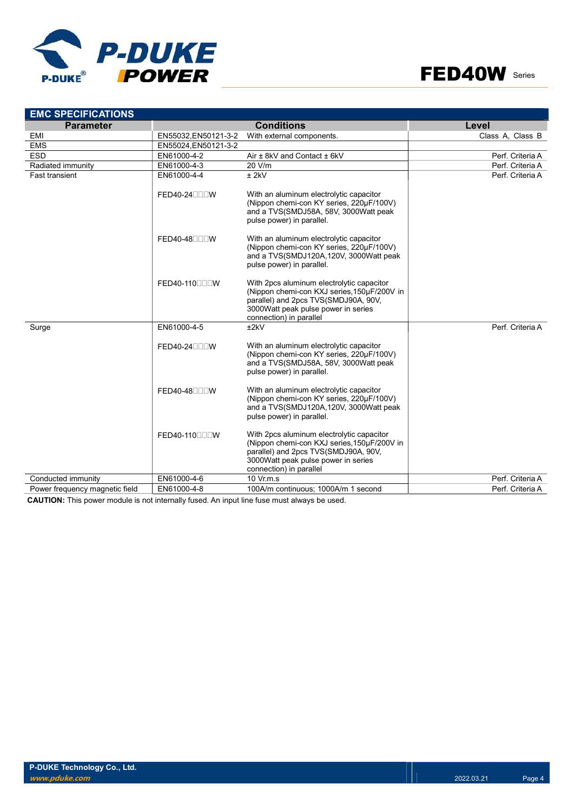



| <b>EMC SPECIFICATIONS</b>      |                      |                                                                                                                                                                                                     |                  |
|--------------------------------|----------------------|-----------------------------------------------------------------------------------------------------------------------------------------------------------------------------------------------------|------------------|
| <b>Parameter</b>               |                      | <b>Conditions</b>                                                                                                                                                                                   | Level            |
| EMI                            | EN55032, EN50121-3-2 | With external components.                                                                                                                                                                           | Class A, Class B |
| <b>EMS</b>                     | EN55024, EN50121-3-2 |                                                                                                                                                                                                     |                  |
| <b>ESD</b>                     | EN61000-4-2          | Air ± 8kV and Contact ± 6kV                                                                                                                                                                         | Perf. Criteria A |
| Radiated immunity              | EN61000-4-3          | 20 V/m                                                                                                                                                                                              | Perf. Criteria A |
| <b>Fast transient</b>          | EN61000-4-4          | $±$ 2kV                                                                                                                                                                                             | Perf. Criteria A |
|                                | FED40-24000W         | With an aluminum electrolytic capacitor<br>(Nippon chemi-con KY series, 220µF/100V)<br>and a TVS(SMDJ58A, 58V, 3000Watt peak<br>pulse power) in parallel.                                           |                  |
|                                | FED40-48000W         | With an aluminum electrolytic capacitor<br>(Nippon chemi-con KY series, 220µF/100V)<br>and a TVS(SMDJ120A,120V, 3000Watt peak<br>pulse power) in parallel.                                          |                  |
|                                | FED40-110000W        | With 2pcs aluminum electrolytic capacitor<br>(Nippon chemi-con KXJ series, 150µF/200V in<br>parallel) and 2pcs TVS(SMDJ90A, 90V,<br>3000 Watt peak pulse power in series<br>connection) in parallel |                  |
| Surge                          | EN61000-4-5          | ±2kV                                                                                                                                                                                                | Perf. Criteria A |
|                                | FED40-24000W         | With an aluminum electrolytic capacitor<br>(Nippon chemi-con KY series, 220µF/100V)<br>and a TVS(SMDJ58A, 58V, 3000Watt peak<br>pulse power) in parallel.                                           |                  |
|                                | FED40-48000W         | With an aluminum electrolytic capacitor<br>(Nippon chemi-con KY series, 220µF/100V)<br>and a TVS(SMDJ120A,120V, 3000Watt peak<br>pulse power) in parallel.                                          |                  |
|                                | FED40-110000W        | With 2pcs aluminum electrolytic capacitor<br>(Nippon chemi-con KXJ series, 150µF/200V in<br>parallel) and 2pcs TVS(SMDJ90A, 90V,<br>3000Watt peak pulse power in series<br>connection) in parallel  |                  |
| Conducted immunity             | EN61000-4-6          | 10 Vr.m.s                                                                                                                                                                                           | Perf. Criteria A |
| Power frequency magnetic field | EN61000-4-8          | 100A/m continuous; 1000A/m 1 second                                                                                                                                                                 | Perf. Criteria A |

CAUTION: This power module is not internally fused. An input line fuse must always be used.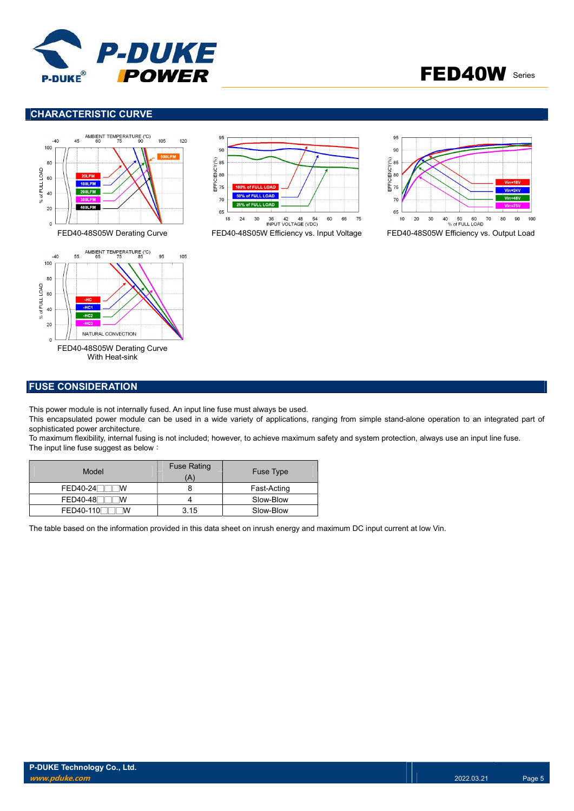

# FED40W Series

# CHARACTERISTIC CURVE









#### FUSE CONSIDERATION

This power module is not internally fused. An input line fuse must always be used.

This encapsulated power module can be used in a wide variety of applications, ranging from simple stand-alone operation to an integrated part of sophisticated power architecture.

To maximum flexibility, internal fusing is not included; however, to achieve maximum safety and system protection, always use an input line fuse. The input line fuse suggest as below:

| Model                 | <b>Fuse Rating</b><br>Ά | <b>Fuse Type</b> |
|-----------------------|-------------------------|------------------|
| <b>FED40-24</b><br>ΙW |                         | Fast-Acting      |
| FED40-48<br>ΙW        |                         | Slow-Blow        |
| FED40-110<br>M        | 3.15                    | Slow-Blow        |

The table based on the information provided in this data sheet on inrush energy and maximum DC input current at low Vin.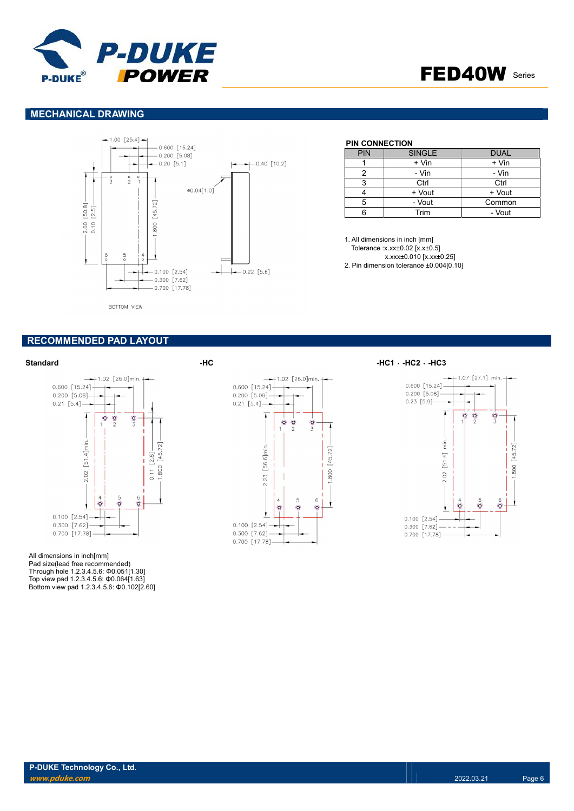



### MECHANICAL DRAWING



BOTTOM VIEW

#### RECOMMENDED PAD LAYOUT



All dimensions in inch[mm] Pad size(lead free recommended) Through hole 1.2.3.4.5.6: Φ0.051[1.30] Top view pad 1.2.3.4.5.6: Φ0.064[1.63] Bottom view pad 1.2.3.4.5.6: Φ0.102[2.60]



#### PIN CONNECTION

| <b>PIN</b> | <b>SINGLE</b> | <b>DUAL</b> |
|------------|---------------|-------------|
|            | + Vin         | + Vin       |
|            | - Vin         | - Vin       |
|            | Ctrl          | Ctrl        |
|            | + Vout        | + Vout      |
| 5          | - Vout        | Common      |
|            | Trim          | - Vout      |

1. All dimensions in inch [mm] Tolerance :x.xx±0.02 [x.x±0.5] x.xxx±0.010 [x.xx±0.25] 2. Pin dimension tolerance ±0.004[0.10]

#### Standard - بالطالبية -HC1 - HC2 - HC3 - HC3 - HC3 - HC3 - HC3 - HC3 - HC3 - HC3 - HC3 - HC3 - HC3 - HC3 - HC3

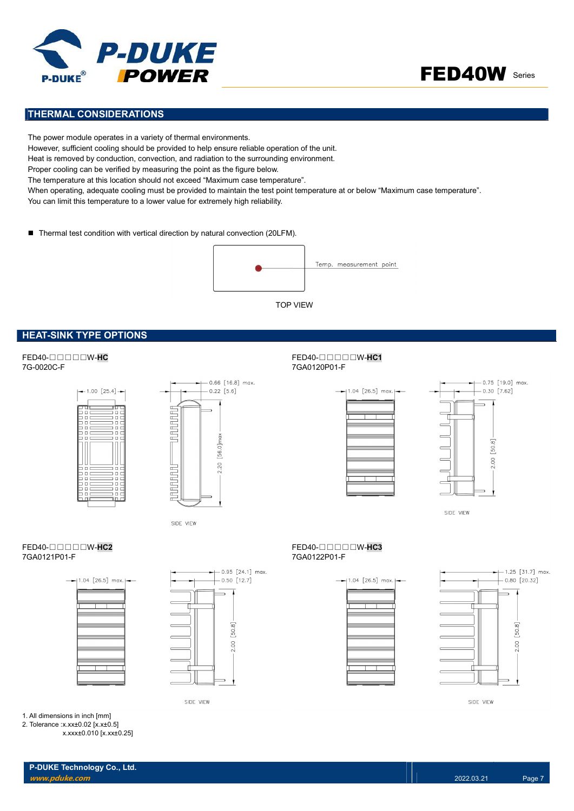



# THERMAL CONSIDERATIONS

The power module operates in a variety of thermal environments. However, sufficient cooling should be provided to help ensure reliable operation of the unit. Heat is removed by conduction, convection, and radiation to the surrounding environment. Proper cooling can be verified by measuring the point as the figure below. The temperature at this location should not exceed "Maximum case temperature". When operating, adequate cooling must be provided to maintain the test point temperature at or below "Maximum case temperature". You can limit this temperature to a lower value for extremely high reliability.

■ Thermal test condition with vertical direction by natural convection (20LFM).



### HEAT-SINK TYPE OPTIONS

#### FED40-□□□□□W-HC FED40-□□□□W-HC1 7G-0020C-F 7GA0120P01-F





SIDE VIEW





SIDE VIEW





 $-0.95$  [24.1] max  $-0.50$  [12.7]  $\overline{\phantom{0}}$ Т 50.8 2.00

SIDE VIEW





SIDE VIEW

1. All dimensions in inch [mm]

2. Tolerance :x.xx±0.02 [x.x±0.5] x.xxx±0.010 [x.xx±0.25]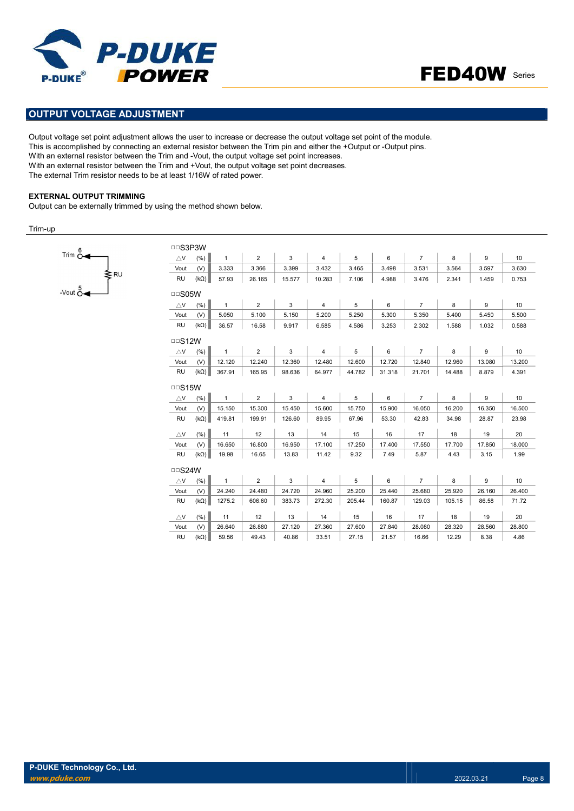



### OUTPUT VOLTAGE ADJUSTMENT

Output voltage set point adjustment allows the user to increase or decrease the output voltage set point of the module. This is accomplished by connecting an external resistor between the Trim pin and either the +Output or -Output pins. With an external resistor between the Trim and -Vout, the output voltage set point increases. With an external resistor between the Trim and +Vout, the output voltage set point decreases. The external Trim resistor needs to be at least 1/16W of rated power.

#### EXTERNAL OUTPUT TRIMMING

Output can be externally trimmed by using the method shown below.

Trim-up



| <b>DDS3P3W</b>        |                    |                  |                  |              |                          |              |                  |                  |                  |                 |              |
|-----------------------|--------------------|------------------|------------------|--------------|--------------------------|--------------|------------------|------------------|------------------|-----------------|--------------|
| $\triangle$ V         | (% )               | $\mathbf{1}$     | $\overline{2}$   | 3            | $\overline{4}$           | 5            | 6                | $\overline{7}$   | 8                | 9               | 10           |
| Vout                  | (V)                | 3.333            | 3.366            | 3.399        | 3.432                    | 3.465        | 3.498            | 3.531            | 3.564            | 3.597           | 3.630        |
| <b>RU</b>             | $(k\Omega)$        | 57.93            | 26.165           | 15.577       | 10.283                   | 7.106        | 4.988            | 3.476            | 2.341            | 1.459           | 0.753        |
| $\Box$ S05W           |                    |                  |                  |              |                          |              |                  |                  |                  |                 |              |
| $\triangle$ V         | (% )               | $\mathbf{1}$     | $\overline{2}$   | 3            | $\overline{4}$           | 5            | 6                | $\overline{7}$   | 8                | 9               | 10           |
| Vout                  | (V)                | 5.050            | 5.100            | 5.150        | 5.200                    | 5.250        | 5.300            | 5.350            | 5.400            | 5.450           | 5.500        |
| RU                    | $(k\Omega)$        | 36.57            | 16.58            | 9.917        | 6.585                    | 4.586        | 3.253            | 2.302            | 1.588            | 1.032           | 0.588        |
| $\Box$ S12W           |                    |                  |                  |              |                          |              |                  |                  |                  |                 |              |
| $\triangle$ V         | (% )               | $\mathbf{1}$     | $\overline{2}$   | 3            | $\overline{4}$           | 5            | 6                | $\overline{7}$   | 8                | 9               | 10           |
| Vout                  | (V)                | 12.120           | 12.240           | 12.360       | 12.480                   | 12.600       | 12.720           | 12.840           | 12.960           | 13.080          | 13.200       |
| RU                    | $(k\Omega)$        | 367.91           | 165.95           | 98.636       | 64.977                   | 44.782       | 31.318           | 21.701           | 14.488           | 8.879           | 4.391        |
| $\Box$ S15W           |                    |                  |                  |              |                          |              |                  |                  |                  |                 |              |
| $\triangle$ V         | (%)                | $\mathbf{1}$     | $\overline{2}$   | 3            | $\overline{4}$           | 5            | 6                | $\overline{7}$   | 8                | 9               | 10           |
| Vout                  | (V)                | 15.150           | 15.300           | 15.450       | 15.600                   | 15.750       | 15.900           | 16.050           | 16.200           | 16.350          | 16.500       |
| <b>RU</b>             | $(k\Omega)$        | 419.81           | 199.91           | 126.60       | 89.95                    | 67.96        | 53.30            | 42.83            | 34.98            | 28.87           | 23.98        |
| $\triangle$ V         | (%)                | 11               | 12               | 13           | 14                       | 15           | 16               | 17               | 18               | 19              | 20           |
| Vout                  | (V)                | 16.650           | 16.800           | 16.950       | 17.100                   | 17.250       |                  |                  |                  | 17.850          | 18.000       |
| <b>RU</b>             |                    |                  |                  |              |                          |              | 17.400           | 17.550           | 17.700           |                 |              |
|                       | $(k\Omega)$        | 19.98            | 16.65            | 13.83        | 11.42                    | 9.32         | 7.49             | 5.87             | 4.43             | 3.15            | 1.99         |
|                       |                    |                  |                  |              |                          |              |                  |                  |                  |                 |              |
| $\Box$ S24W           |                    |                  |                  |              |                          |              |                  |                  |                  |                 |              |
| $\triangle$ V         | (% )               | $\mathbf{1}$     | $\overline{2}$   | 3<br>24.720  | $\overline{4}$<br>24.960 | 5<br>25.200  | 6                | $\overline{7}$   | 8                | 9               | 10<br>26.400 |
| Vout<br><b>RU</b>     | (V)<br>$(k\Omega)$ | 24.240<br>1275.2 | 24.480<br>606.60 | 383.73       | 272.30                   | 205.44       | 25.440<br>160.87 | 25.680<br>129.03 | 25.920<br>105.15 | 26.160<br>86.58 | 71.72        |
|                       |                    |                  |                  |              |                          |              |                  |                  |                  |                 |              |
| $\triangle$ V<br>Vout | (%)<br>(V)         | 11<br>26.640     | 12<br>26.880     | 13<br>27.120 | 14<br>27.360             | 15<br>27.600 | 16<br>27.840     | 17<br>28.080     | 18<br>28.320     | 19<br>28.560    | 20<br>28.800 |